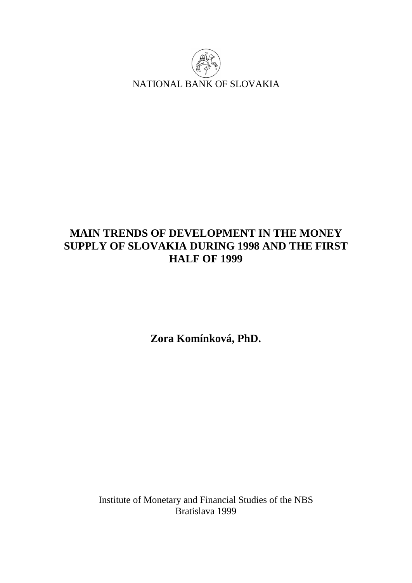

# **MAIN TRENDS OF DEVELOPMENT IN THE MONEY SUPPLY OF SLOVAKIA DURING 1998 AND THE FIRST HALF OF 1999**

**Zora Komínková, PhD.** 

Institute of Monetary and Financial Studies of the NBS Bratislava 1999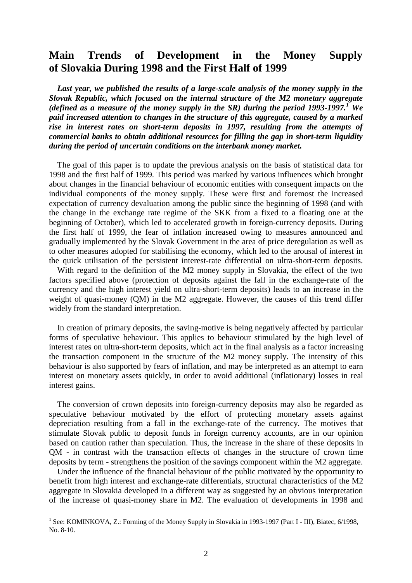# **Main Trends of Development in the Money Supply of Slovakia During 1998 and the First Half of 1999**

 *Last year, we published the results of a large-scale analysis of the money supply in the Slovak Republic, which focused on the internal structure of the M2 monetary aggregate (defined as a measure of the money supply in the SR) during the period 1993-1997.<sup>1</sup> We paid increased attention to changes in the structure of this aggregate, caused by a marked rise in interest rates on short-term deposits in 1997, resulting from the attempts of commercial banks to obtain additional resources for filling the gap in short-term liquidity during the period of uncertain conditions on the interbank money market.*

 The goal of this paper is to update the previous analysis on the basis of statistical data for 1998 and the first half of 1999. This period was marked by various influences which brought about changes in the financial behaviour of economic entities with consequent impacts on the individual components of the money supply. These were first and foremost the increased expectation of currency devaluation among the public since the beginning of 1998 (and with the change in the exchange rate regime of the SKK from a fixed to a floating one at the beginning of October), which led to accelerated growth in foreign-currency deposits. During the first half of 1999, the fear of inflation increased owing to measures announced and gradually implemented by the Slovak Government in the area of price deregulation as well as to other measures adopted for stabilising the economy, which led to the arousal of interest in the quick utilisation of the persistent interest-rate differential on ultra-short-term deposits.

 With regard to the definition of the M2 money supply in Slovakia, the effect of the two factors specified above (protection of deposits against the fall in the exchange-rate of the currency and the high interest yield on ultra-short-term deposits) leads to an increase in the weight of quasi-money (QM) in the M2 aggregate. However, the causes of this trend differ widely from the standard interpretation.

 In creation of primary deposits, the saving-motive is being negatively affected by particular forms of speculative behaviour. This applies to behaviour stimulated by the high level of interest rates on ultra-short-term deposits, which act in the final analysis as a factor increasing the transaction component in the structure of the M2 money supply. The intensity of this behaviour is also supported by fears of inflation, and may be interpreted as an attempt to earn interest on monetary assets quickly, in order to avoid additional (inflationary) losses in real interest gains.

 The conversion of crown deposits into foreign-currency deposits may also be regarded as speculative behaviour motivated by the effort of protecting monetary assets against depreciation resulting from a fall in the exchange-rate of the currency. The motives that stimulate Slovak public to deposit funds in foreign currency accounts, are in our opinion based on caution rather than speculation. Thus, the increase in the share of these deposits in QM - in contrast with the transaction effects of changes in the structure of crown time deposits by term - strengthens the position of the savings component within the M2 aggregate.

 Under the influence of the financial behaviour of the public motivated by the opportunity to benefit from high interest and exchange-rate differentials, structural characteristics of the M2 aggregate in Slovakia developed in a different way as suggested by an obvious interpretation of the increase of quasi-money share in M2. The evaluation of developments in 1998 and

 $\overline{a}$ 

<sup>&</sup>lt;sup>1</sup> See: KOMINKOVA, Z.: Forming of the Money Supply in Slovakia in 1993-1997 (Part I - III), Biatec, 6/1998, No. 8-10.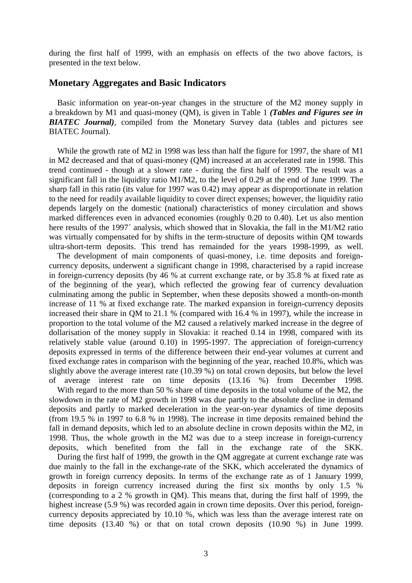during the first half of 1999, with an emphasis on effects of the two above factors, is presented in the text below.

### **Monetary Aggregates and Basic Indicators**

 Basic information on year-on-year changes in the structure of the M2 money supply in a breakdown by M1 and quasi-money (QM), is given in Table 1 *(Tables and Figures see in BIATEC Journal)*, compiled from the Monetary Survey data (tables and pictures see BIATEC Journal).

 While the growth rate of M2 in 1998 was less than half the figure for 1997, the share of M1 in M2 decreased and that of quasi-money (QM) increased at an accelerated rate in 1998. This trend continued - though at a slower rate - during the first half of 1999. The result was a significant fall in the liquidity ratio M1/M2, to the level of 0.29 at the end of June 1999. The sharp fall in this ratio (its value for 1997 was 0.42) may appear as disproportionate in relation to the need for readily available liquidity to cover direct expenses; however, the liquidity ratio depends largely on the domestic (national) characteristics of money circulation and shows marked differences even in advanced economies (roughly 0.20 to 0.40). Let us also mention here results of the 1997<sup> $\cdot$ </sup> analysis, which showed that in Slovakia, the fall in the M1/M2 ratio was virtually compensated for by shifts in the term-structure of deposits within QM towards ultra-short-term deposits. This trend has remainded for the years 1998-1999, as well.

 The development of main components of quasi-money, i.e. time deposits and foreigncurrency deposits, underwent a significant change in 1998, characterised by a rapid increase in foreign-currency deposits (by 46 % at current exchange rate, or by 35.8 % at fixed rate as of the beginning of the year), which reflected the growing fear of currency devaluation culminating among the public in September, when these deposits showed a month-on-month increase of 11 % at fixed exchange rate. The marked expansion in foreign-currency deposits increased their share in QM to 21.1 % (compared with 16.4 % in 1997), while the increase in proportion to the total volume of the M2 caused a relatively marked increase in the degree of dollarisation of the money supply in Slovakia: it reached 0.14 in 1998, compared with its relatively stable value (around 0.10) in 1995-1997. The appreciation of foreign-currency deposits expressed in terms of the difference between their end-year volumes at current and fixed exchange rates in comparison with the beginning of the year, reached 10.8%, which was slightly above the average interest rate (10.39 %) on total crown deposits, but below the level of average interest rate on time deposits (13.16 %) from December 1998.

With regard to the more than 50 % share of time deposits in the total volume of the M2, the slowdown in the rate of M2 growth in 1998 was due partly to the absolute decline in demand deposits and partly to marked deceleration in the year-on-year dynamics of time deposits (from 19.5 % in 1997 to 6.8 % in 1998). The increase in time deposits remained behind the fall in demand deposits, which led to an absolute decline in crown deposits within the M2, in 1998. Thus, the whole growth in the M2 was due to a steep increase in foreign-currency deposits, which benefited from the fall in the exchange rate of the SKK.

 During the first half of 1999, the growth in the QM aggregate at current exchange rate was due mainly to the fall in the exchange-rate of the SKK, which accelerated the dynamics of growth in foreign currency deposits. In terms of the exchange rate as of 1 January 1999, deposits in foreign currency increased during the first six months by only 1.5 % (corresponding to a 2 % growth in QM). This means that, during the first half of 1999, the highest increase (5.9 %) was recorded again in crown time deposits. Over this period, foreigncurrency deposits appreciated by 10.10 %, which was less than the average interest rate on time deposits (13.40 %) or that on total crown deposits (10.90 %) in June 1999.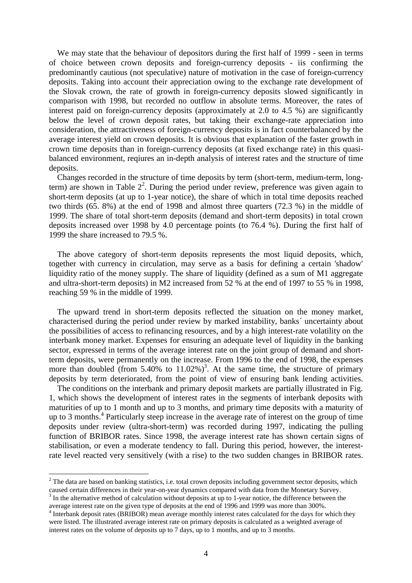We may state that the behaviour of depositors during the first half of 1999 - seen in terms of choice between crown deposits and foreign-currency deposits - iis confirming the predominantly cautious (not speculative) nature of motivation in the case of foreign-currency deposits. Taking into account their appreciation owing to the exchange rate development of the Slovak crown, the rate of growth in foreign-currency deposits slowed significantly in comparison with 1998, but recorded no outflow in absolute terms. Moreover, the rates of interest paid on foreign-currency deposits (approximately at 2.0 to 4.5 %) are significantly below the level of crown deposit rates, but taking their exchange-rate appreciation into consideration, the attractiveness of foreign-currency deposits is in fact counterbalanced by the average interest yield on crown deposits. It is obvious that explanation of the faster growth in crown time deposits than in foreign-currency deposits (at fixed exchange rate) in this quasibalanced environment, reqiures an in-depth analysis of interest rates and the structure of time deposits.

 Changes recorded in the structure of time deposits by term (short-term, medium-term, longterm) are shown in Table  $2<sup>2</sup>$ . During the period under review, preference was given again to short-term deposits (at up to 1-year notice), the share of which in total time deposits reached two thirds (65. 8%) at the end of 1998 and almost three quarters (72.3 %) in the middle of 1999. The share of total short-term deposits (demand and short-term deposits) in total crown deposits increased over 1998 by 4.0 percentage points (to 76.4 %). During the first half of 1999 the share increased to 79.5 %.

 The above category of short-term deposits represents the most liquid deposits, which, together with currency in circulation, may serve as a basis for defining a certain 'shadow' liquidity ratio of the money supply. The share of liquidity (defined as a sum of M1 aggregate and ultra-short-term deposits) in M2 increased from 52 % at the end of 1997 to 55 % in 1998, reaching 59 % in the middle of 1999.

 The upward trend in short-term deposits reflected the situation on the money market, characterised during the period under review by marked instability, banks´ uncertainty about the possibilities of access to refinancing resources, and by a high interest-rate volatility on the interbank money market. Expenses for ensuring an adequate level of liquidity in the banking sector, expressed in terms of the average interest rate on the joint group of demand and shortterm deposits, were permanently on the increase. From 1996 to the end of 1998, the expenses more than doubled (from  $5.40\%$  to  $11.02\%$ )<sup>3</sup>. At the same time, the structure of primary deposits by term deteriorated, from the point of view of ensuring bank lending activities.

 The conditions on the interbank and primary deposit markets are partially illustrated in Fig. 1, which shows the development of interest rates in the segments of interbank deposits with maturities of up to 1 month and up to 3 months, and primary time deposits with a maturity of up to 3 months.<sup>4</sup> Particularly steep increase in the average rate of interest on the group of time deposits under review (ultra-short-term) was recorded during 1997, indicating the pulling function of BRIBOR rates. Since 1998, the average interest rate has shown certain signs of stabilisation, or even a moderate tendency to fall. During this period, however, the interestrate level reacted very sensitively (with a rise) to the two sudden changes in BRIBOR rates.

 $\overline{a}$ 

<sup>&</sup>lt;sup>2</sup> The data are based on banking statistics, i.e. total crown deposits including government sector deposits, which caused certain differences in their year-on-year dynamics compared with data from the Monetary Survey.

 $3$  In the alternative method of calculation without deposits at up to 1-year notice, the difference between the average interest rate on the given type of deposits at the end of 1996 and 1999 was more than 300%.

<sup>&</sup>lt;sup>4</sup> Interbank deposit rates (BRIBOR) mean average monthly interest rates calculated for the days for which they were listed. The illustrated average interest rate on primary deposits is calculated as a weighted average of interest rates on the volume of deposits up to 7 days, up to 1 months, and up to 3 months.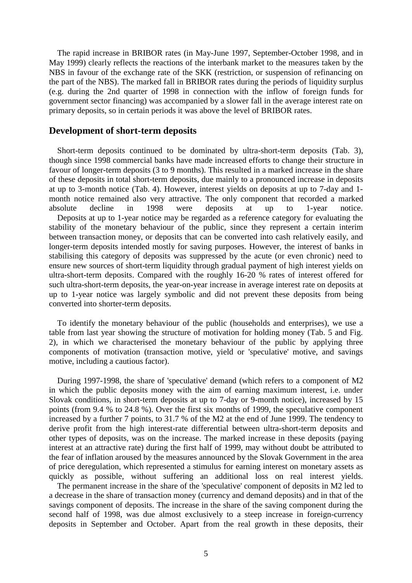The rapid increase in BRIBOR rates (in May-June 1997, September-October 1998, and in May 1999) clearly reflects the reactions of the interbank market to the measures taken by the NBS in favour of the exchange rate of the SKK (restriction, or suspension of refinancing on the part of the NBS). The marked fall in BRIBOR rates during the periods of liquidity surplus (e.g. during the 2nd quarter of 1998 in connection with the inflow of foreign funds for government sector financing) was accompanied by a slower fall in the average interest rate on primary deposits, so in certain periods it was above the level of BRIBOR rates.

# **Development of short-term deposits**

 Short-term deposits continued to be dominated by ultra-short-term deposits (Tab. 3), though since 1998 commercial banks have made increased efforts to change their structure in favour of longer-term deposits (3 to 9 months). This resulted in a marked increase in the share of these deposits in total short-term deposits, due mainly to a pronounced increase in deposits at up to 3-month notice (Tab. 4). However, interest yields on deposits at up to 7-day and 1 month notice remained also very attractive. The only component that recorded a marked absolute decline in 1998 were deposits at up to 1-year notice. Deposits at up to 1-year notice may be regarded as a reference category for evaluating the stability of the monetary behaviour of the public, since they represent a certain interim between transaction money, or deposits that can be converted into cash relatively easily, and longer-term deposits intended mostly for saving purposes. However, the interest of banks in stabilising this category of deposits was suppressed by the acute (or even chronic) need to ensure new sources of short-term liquidity through gradual payment of high interest yields on ultra-short-term deposits. Compared with the roughly 16-20 % rates of interest offered for such ultra-short-term deposits, the year-on-year increase in average interest rate on deposits at up to 1-year notice was largely symbolic and did not prevent these deposits from being converted into shorter-term deposits.

 To identify the monetary behaviour of the public (households and enterprises), we use a table from last year showing the structure of motivation for holding money (Tab. 5 and Fig. 2), in which we characterised the monetary behaviour of the public by applying three components of motivation (transaction motive, yield or 'speculative' motive, and savings motive, including a cautious factor).

 During 1997-1998, the share of 'speculative' demand (which refers to a component of M2 in which the public deposits money with the aim of earning maximum interest, i.e. under Slovak conditions, in short-term deposits at up to 7-day or 9-month notice), increased by 15 points (from 9.4 % to 24.8 %). Over the first six months of 1999, the speculative component increased by a further 7 points, to 31.7 % of the M2 at the end of June 1999. The tendency to derive profit from the high interest-rate differential between ultra-short-term deposits and other types of deposits, was on the increase. The marked increase in these deposits (paying interest at an attractive rate) during the first half of 1999, may without doubt be attributed to the fear of inflation aroused by the measures announced by the Slovak Government in the area of price deregulation, which represented a stimulus for earning interest on monetary assets as quickly as possible, without suffering an additional loss on real interest yields.

 The permanent increase in the share of the 'speculative' component of deposits in M2 led to a decrease in the share of transaction money (currency and demand deposits) and in that of the savings component of deposits. The increase in the share of the saving component during the second half of 1998, was due almost exclusively to a steep increase in foreign-currency deposits in September and October. Apart from the real growth in these deposits, their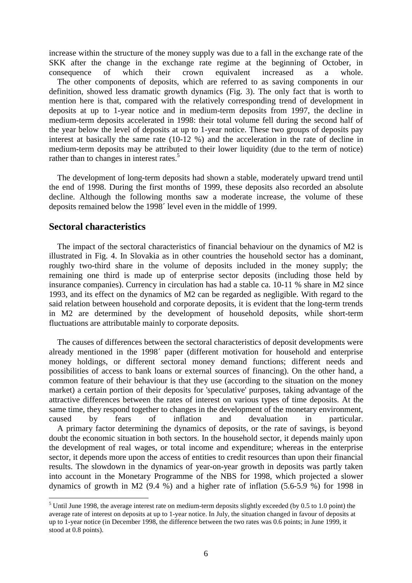increase within the structure of the money supply was due to a fall in the exchange rate of the SKK after the change in the exchange rate regime at the beginning of October, in consequence of which their crown equivalent increased as a whole. The other components of deposits, which are referred to as saving components in our definition, showed less dramatic growth dynamics (Fig. 3). The only fact that is worth to mention here is that, compared with the relatively corresponding trend of development in deposits at up to 1-year notice and in medium-term deposits from 1997, the decline in medium-term deposits accelerated in 1998: their total volume fell during the second half of the year below the level of deposits at up to 1-year notice. These two groups of deposits pay interest at basically the same rate (10-12 %) and the acceleration in the rate of decline in medium-term deposits may be attributed to their lower liquidity (due to the term of notice) rather than to changes in interest rates.<sup>5</sup>

 The development of long-term deposits had shown a stable, moderately upward trend until the end of 1998. During the first months of 1999, these deposits also recorded an absolute decline. Although the following months saw a moderate increase, the volume of these deposits remained below the 1998´ level even in the middle of 1999.

## **Sectoral characteristics**

 $\overline{a}$ 

 The impact of the sectoral characteristics of financial behaviour on the dynamics of M2 is illustrated in Fig. 4. In Slovakia as in other countries the household sector has a dominant, roughly two-third share in the volume of deposits included in the money supply; the remaining one third is made up of enterprise sector deposits (including those held by insurance companies). Currency in circulation has had a stable ca. 10-11 % share in M2 since 1993, and its effect on the dynamics of M2 can be regarded as negligible. With regard to the said relation between household and corporate deposits, it is evident that the long-term trends in M2 are determined by the development of household deposits, while short-term fluctuations are attributable mainly to corporate deposits.

 The causes of differences between the sectoral characteristics of deposit developments were already mentioned in the 1998´ paper (different motivation for household and enterprise money holdings, or different sectoral money demand functions; different needs and possibilities of access to bank loans or external sources of financing). On the other hand, a common feature of their behaviour is that they use (according to the situation on the money market) a certain portion of their deposits for 'speculative' purposes, taking advantage of the attractive differences between the rates of interest on various types of time deposits. At the same time, they respond together to changes in the development of the monetary environment, caused by fears of inflation and devaluation in particular. A primary factor determining the dynamics of deposits, or the rate of savings, is beyond doubt the economic situation in both sectors. In the household sector, it depends mainly upon the development of real wages, or total income and expenditure; whereas in the enterprise sector, it depends more upon the access of entities to credit resources than upon their financial results. The slowdown in the dynamics of year-on-year growth in deposits was partly taken into account in the Monetary Programme of the NBS for 1998, which projected a slower dynamics of growth in M2 (9.4 %) and a higher rate of inflation (5.6-5.9 %) for 1998 in

 $<sup>5</sup>$  Until June 1998, the average interest rate on medium-term deposits slightly exceeded (by 0.5 to 1.0 point) the</sup> average rate of interest on deposits at up to 1-year notice. In July, the situation changed in favour of deposits at up to 1-year notice (in December 1998, the difference between the two rates was 0.6 points; in June 1999, it stood at 0.8 points).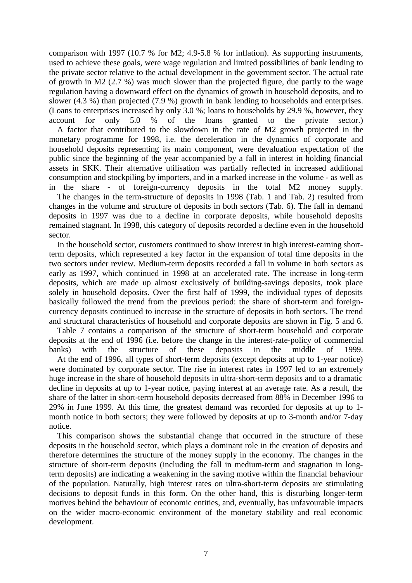comparison with 1997 (10.7 % for M2; 4.9-5.8 % for inflation). As supporting instruments, used to achieve these goals, were wage regulation and limited possibilities of bank lending to the private sector relative to the actual development in the government sector. The actual rate of growth in M2 (2.7 %) was much slower than the projected figure, due partly to the wage regulation having a downward effect on the dynamics of growth in household deposits, and to slower (4.3 %) than projected (7.9 %) growth in bank lending to households and enterprises. (Loans to enterprises increased by only 3.0 %; loans to households by 29.9 %, however, they account for only 5.0 % of the loans granted to the private sector.)

 A factor that contributed to the slowdown in the rate of M2 growth projected in the monetary programme for 1998, i.e. the deceleration in the dynamics of corporate and household deposits representing its main component, were devaluation expectation of the public since the beginning of the year accompanied by a fall in interest in holding financial assets in SKK. Their alternative utilisation was partially reflected in increased additional consumption and stockpiling by importers, and in a marked increase in the volume - as well as in the share - of foreign-currency deposits in the total M2 money supply.

 The changes in the term-structure of deposits in 1998 (Tab. 1 and Tab. 2) resulted from changes in the volume and structure of deposits in both sectors (Tab. 6). The fall in demand deposits in 1997 was due to a decline in corporate deposits, while household deposits remained stagnant. In 1998, this category of deposits recorded a decline even in the household sector.

 In the household sector, customers continued to show interest in high interest-earning shortterm deposits, which represented a key factor in the expansion of total time deposits in the two sectors under review. Medium-term deposits recorded a fall in volume in both sectors as early as 1997, which continued in 1998 at an accelerated rate. The increase in long-term deposits, which are made up almost exclusively of building-savings deposits, took place solely in household deposits. Over the first half of 1999, the individual types of deposits basically followed the trend from the previous period: the share of short-term and foreigncurrency deposits continued to increase in the structure of deposits in both sectors. The trend and structural characteristics of household and corporate deposits are shown in Fig. 5 and 6.

 Table 7 contains a comparison of the structure of short-term household and corporate deposits at the end of 1996 (i.e. before the change in the interest-rate-policy of commercial banks) with the structure of these deposits in the middle of 1999.

 At the end of 1996, all types of short-term deposits (except deposits at up to 1-year notice) were dominated by corporate sector. The rise in interest rates in 1997 led to an extremely huge increase in the share of household deposits in ultra-short-term deposits and to a dramatic decline in deposits at up to 1-year notice, paying interest at an average rate. As a result, the share of the latter in short-term household deposits decreased from 88% in December 1996 to 29% in June 1999. At this time, the greatest demand was recorded for deposits at up to 1 month notice in both sectors; they were followed by deposits at up to 3-month and/or 7-day notice.

 This comparison shows the substantial change that occurred in the structure of these deposits in the household sector, which plays a dominant role in the creation of deposits and therefore determines the structure of the money supply in the economy. The changes in the structure of short-term deposits (including the fall in medium-term and stagnation in longterm deposits) are indicating a weakening in the saving motive within the financial behaviour of the population. Naturally, high interest rates on ultra-short-term deposits are stimulating decisions to deposit funds in this form. On the other hand, this is disturbing longer-term motives behind the behaviour of economic entities, and, eventually, has unfavourable impacts on the wider macro-economic environment of the monetary stability and real economic development.